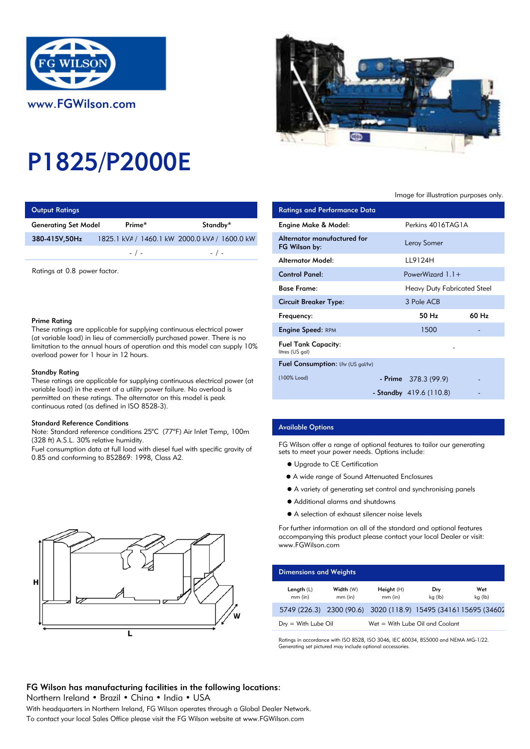

# P1825/P2000E

| <b>Output Ratings</b>       |           |                                               | <b>Ratings and Performance Data</b> |
|-----------------------------|-----------|-----------------------------------------------|-------------------------------------|
| <b>Generating Set Model</b> | Prime*    | Standby*                                      | Engine Make & Model:                |
| 380-415V,50Hz               |           | 1825.1 kVA / 1460.1 kW 2000.0 kVA / 1600.0 kW | Alternator manufactured for         |
|                             | $-$ / $-$ | $-$ / $-$                                     | FG Wilson by:                       |
|                             |           |                                               | Altomator Model.                    |

Ratings at 0.8 power factor.

## Prime Rating

These ratings are applicable for supplying continuous electrical power (at variable load) in lieu of commercially purchased power. There is no limitation to the annual hours of operation and this model can supply 10% overload power for 1 hour in 12 hours.

### Standby Rating

These ratings are applicable for supplying continuous electrical power (at variable load) in the event of a utility power failure. No overload is permitted on these ratings. The alternator on this model is peak continuous rated (as defined in ISO 8528-3).

#### Standard Reference Conditions

Note: Standard reference conditions 25°C (77°F) Air Inlet Temp, 100m (328 ft) A.S.L. 30% relative humidity.

Fuel consumption data at full load with diesel fuel with specific gravity of 0.85 and conforming to BS2869: 1998, Class A2.





## Image for illustration purposes only.

| ings                                                                                                                                                       |                                                             |                                               | <b>Ratings and Performance Data</b>           |                          |                                    |       |
|------------------------------------------------------------------------------------------------------------------------------------------------------------|-------------------------------------------------------------|-----------------------------------------------|-----------------------------------------------|--------------------------|------------------------------------|-------|
| Set Model                                                                                                                                                  | Prime*                                                      | Standby*                                      | Engine Make & Model:                          |                          | Perkins 4016TAG1A                  |       |
| 50Hz                                                                                                                                                       |                                                             | 1825.1 kVA / 1460.1 kW 2000.0 kVA / 1600.0 kW | Alternator manufactured for<br>FG Wilson by:  |                          | Leroy Somer                        |       |
|                                                                                                                                                            | $-$ / $-$                                                   | $-$ / $-$                                     | <b>Alternator Model:</b>                      | LL9124H                  |                                    |       |
| 0.8 power factor.<br>٦a                                                                                                                                    |                                                             |                                               | <b>Control Panel:</b>                         |                          | PowerWizard $1.1+$                 |       |
|                                                                                                                                                            |                                                             |                                               | <b>Base Frame:</b>                            |                          | <b>Heavy Duty Fabricated Steel</b> |       |
|                                                                                                                                                            |                                                             |                                               | <b>Circuit Breaker Type:</b>                  | 3 Pole ACB               |                                    |       |
|                                                                                                                                                            |                                                             |                                               | Frequency:                                    |                          | 50 Hz                              | 60 Hz |
|                                                                                                                                                            | gs are applicable for supplying continuous electrical power |                                               | <b>Engine Speed: RPM</b>                      |                          | 1500                               |       |
| load) in lieu of commercially purchased power. There is no<br>o the annual hours of operation and this model can supply 10%<br>wer for 1 hour in 12 hours. |                                                             |                                               | <b>Fuel Tank Capacity:</b><br>litres (US gal) |                          |                                    |       |
|                                                                                                                                                            |                                                             |                                               | Fuel Consumption: I/hr (US gal/hr)            |                          |                                    |       |
| ıting<br>gs are applicable for supplying continuous electrical power (at                                                                                   |                                                             | (100% Load)                                   | - Prime $378.3(99.9)$                         |                          |                                    |       |
| id) in the event of a utility power failure. No overload is                                                                                                |                                                             |                                               |                                               | - Standby $419.6(110.8)$ |                                    |       |

## Available Options

FG Wilson offer a range of optional features to tailor our generating sets to meet your power needs. Options include:

- $\bullet$  Upgrade to CE Certification
- A wide range of Sound Attenuated Enclosures
- A variety of generating set control and synchronising panels
- Additional alarms and shutdowns
- A selection of exhaust silencer noise levels

For further information on all of the standard and optional features accompanying this product please contact your local Dealer or visit: www.FGWilson.com

| <b>Dimensions and Weights</b>   |                        |                                                                 |                |                |
|---------------------------------|------------------------|-----------------------------------------------------------------|----------------|----------------|
| Length $(L)$<br>$mm$ (in)       | Width (W)<br>$mm$ (in) | Height (H)<br>$mm$ (in)                                         | Dry<br>kg (lb) | Wet<br>kg (lb) |
|                                 |                        | 5749 (226.3) 2300 (90.6) 3020 (118.9) 15495 (3416) 15695 (34602 |                |                |
| $D_{\text{IV}} =$ With Lube Oil |                        | Wet = With Lube Oil and Coolant                                 |                |                |

Ratings in accordance with ISO 8528, ISO 3046, IEC 60034, BS5000 and NEMA MG-1/22. Generating set pictured may include optional accessories.

# FG Wilson has manufacturing facilities in the following locations:

Northern Ireland • Brazil • China • India • USA

With headquarters in Northern Ireland, FG Wilson operates through a Global Dealer Network. To contact your local Sales Office please visit the FG Wilson website at www.FGWilson.com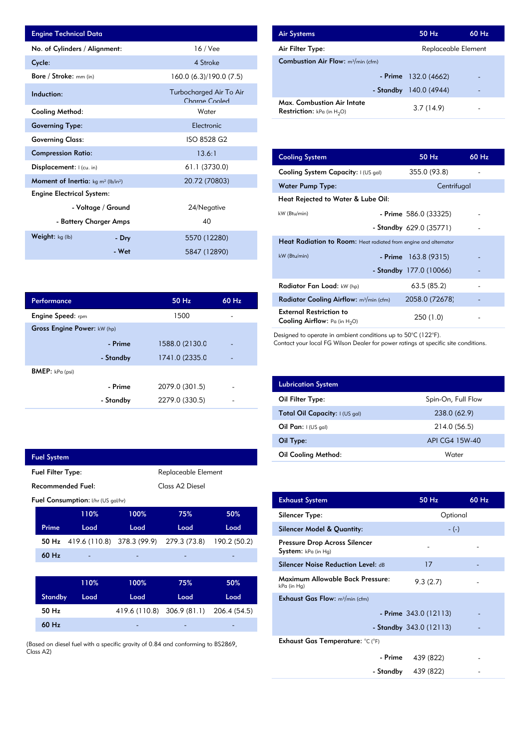| <b>Engine Technical Data</b>                       |                    |                                          | <b>Air Systems</b>                  |
|----------------------------------------------------|--------------------|------------------------------------------|-------------------------------------|
| No. of Cylinders / Alignment:                      |                    | $16$ / Vee                               | Air Filter Ty                       |
| Cycle:                                             |                    | 4 Stroke                                 | Combustion                          |
| Bore / Stroke: mm (in)                             |                    | 160.0 (6.3)/190.0 (7.5)                  |                                     |
| Induction:                                         |                    | Turbocharged Air To Air<br>Charge Cooled | Max. Comb                           |
| <b>Cooling Method:</b>                             |                    | Water                                    | <b>Restriction:</b>                 |
| <b>Governing Type:</b>                             |                    | Electronic                               |                                     |
| <b>Governing Class:</b>                            |                    | ISO 8528 G2                              |                                     |
| <b>Compression Ratio:</b>                          |                    | 13.6:1                                   | <b>Cooling Sys</b>                  |
| <b>Displacement:</b> $ $ (cu. in)                  |                    | 61.1 (3730.0)                            | <b>Cooling Sys</b>                  |
| <b>Moment of Inertia:</b> $kg \, m^2 \, (lb/in^2)$ |                    | 20.72 (70803)                            | Water Pum                           |
| <b>Engine Electrical System:</b>                   |                    |                                          | <b>Heat Reject</b>                  |
|                                                    | - Voltage / Ground | 24/Negative                              |                                     |
| - Battery Charger Amps                             |                    | 40                                       | kW (Btu/min)                        |
| Weight: kg (lb)                                    | - Dry              | 5570 (12280)                             |                                     |
|                                                    | - Wet              | 5847 (12890)                             | <b>Heat Radia</b><br>$kW$ (Btu/min) |

| <b>Air Systems</b>                                                 | 50 Hz                  | $60$ Hz. |
|--------------------------------------------------------------------|------------------------|----------|
| Air Filter Type:                                                   | Replaceable Element    |          |
| <b>Combustion Air Flow:</b> $m^3/m$ in (cfm)                       |                        |          |
|                                                                    | $-$ Prime 132.0 (4662) |          |
| - Standby                                                          | 140.0 (4944)           |          |
| Max. Combustion Air Intate<br><b>Restriction:</b> kPa (in $H_2O$ ) | 3.7(14.9)              |          |

| 13.6:1         | <b>Cooling System</b>                                                     | 50 Hz                   | 60 Hz |
|----------------|---------------------------------------------------------------------------|-------------------------|-------|
| 61.1 (3730.0)  | Cooling System Capacity: I (US gal)                                       | 355.0 (93.8)            |       |
| 20.72 (70803)  | <b>Water Pump Type:</b>                                                   | Centrifugal             |       |
|                | Heat Rejected to Water & Lube Oil:                                        |                         |       |
| 24/Negative    | kW (Btu/min)                                                              | $-$ Prime 586.0 (33325) |       |
| 40             |                                                                           | - Standby 629.0 (35771) |       |
| 5570 (12280)   | Heat Radiation to Room: Heat radiated from engine and alternator          |                         |       |
| 5847 (12890)   | kW (Btu/min)                                                              | $-$ Prime 163.8 (9315)  |       |
|                |                                                                           | - Standby 177.0 (10066) |       |
|                | Radiator Fan Load: kW (hp)                                                | 63.5(85.2)              |       |
| 60 Hz<br>50 Hz | Radiator Cooling Airflow: m <sup>3</sup> /min (cfm)                       | 2058.0 (72678)          |       |
| 1500           | <b>External Restriction to</b><br><b>Cooling Airflow:</b> Pa (in $H_2O$ ) | 250 (1.0)               |       |

Designed to operate in ambient conditions up to 50°C (122°F).

Contact your local FG Wilson Dealer for power ratings at specific site conditions.

| <b>Lubrication System</b>      |                    |
|--------------------------------|--------------------|
| Oil Filter Type:               | Spin-On, Full Flow |
| Total Oil Capacity: I (US gal) | 238.0 (62.9)       |
| Oil Pan: $I(US gal)$           | 214.0 (56.5)       |
| Oil Type:                      | API CG4 15W-40     |
| <b>Oil Cooling Method:</b>     | Water              |

| <b>Exhaust System</b>                                  | 50 Hz                    | $60$ Hz |
|--------------------------------------------------------|--------------------------|---------|
| Silencer Type:                                         | Optional                 |         |
| Silencer Model & Quantity:                             | $-(-)$                   |         |
| Pressure Drop Across Silencer<br>System: kPa (in Hg)   |                          |         |
| <b>Silencer Noise Reduction Level: dB</b>              | 17                       |         |
| <b>Maximum Allowable Back Pressure:</b><br>kPa (in Hg) | 9.3(2.7)                 |         |
| <b>Exhaust Gas Flow:</b> $m^3/m$ in (cfm)              |                          |         |
|                                                        | $-$ Prime 343.0 (12113)  |         |
|                                                        | - Standby $343.0(12113)$ |         |
| Exhaust Gas Temperature: °C (°F)                       |                          |         |
| - Prime                                                | 439 (822)                |         |
| - Standby                                              | 439 (822)                |         |

| Performance                 |           | 50 Hz          | $60$ Hz |
|-----------------------------|-----------|----------------|---------|
| <b>Engine Speed:</b> rpm    |           | 1500           |         |
| Gross Engine Power: kW (hp) |           |                |         |
|                             | - Prime   | 1588.0 (2130.0 |         |
|                             | - Standby | 1741.0 (2335.0 |         |
| <b>BMEP:</b> $kPa$ (psi)    |           |                |         |
|                             | - Prime   | 2079.0 (301.5) |         |
|                             | - Standby | 2279.0 (330.5) |         |
|                             |           |                |         |

|                          | <b>Fuel System</b>                              |                                    |                                         |                             |              |  |
|--------------------------|-------------------------------------------------|------------------------------------|-----------------------------------------|-----------------------------|--------------|--|
|                          | <b>Fuel Filter Type:</b><br>Replaceable Element |                                    |                                         |                             |              |  |
| <b>Recommended Fuel:</b> |                                                 |                                    |                                         | Class A <sub>2</sub> Diesel |              |  |
|                          |                                                 | Fuel Consumption: I/hr (US gal/hr) |                                         |                             |              |  |
|                          |                                                 | 110%                               | 100%                                    | 75%                         | 50%          |  |
|                          | Prime                                           | Load                               | Load                                    | Load                        | Load         |  |
|                          | 50 Hz                                           |                                    | 419.6 (110.8) 378.3 (99.9) 279.3 (73.8) |                             | 190.2 (50.2) |  |
|                          | 60 Hz                                           |                                    |                                         |                             |              |  |
|                          |                                                 |                                    |                                         |                             |              |  |
|                          |                                                 | 110%                               | 100%                                    | 75%                         | 50%          |  |
|                          | <b>Standby</b>                                  | Load                               | Load                                    | Load                        | Load         |  |
|                          | 50 Hz                                           |                                    | 419.6 (110.8) 306.9 (81.1) 206.4 (54.5) |                             |              |  |
|                          | 60 Hz                                           |                                    |                                         |                             |              |  |
|                          |                                                 |                                    |                                         |                             |              |  |

(Based on diesel fuel with a specific gravity of 0.84 and conforming to BS2869, Class A2)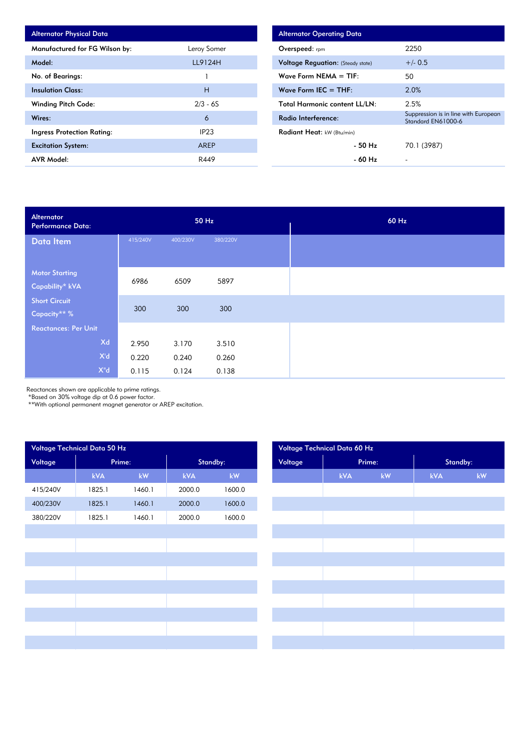| <b>Alternator Physical Data</b> |             |  |  |
|---------------------------------|-------------|--|--|
| Manufactured for FG Wilson by:  | Leroy Somer |  |  |
| Model:                          | LL9124H     |  |  |
| No. of Bearings:                |             |  |  |
| <b>Insulation Class:</b>        | н           |  |  |
| <b>Winding Pitch Code:</b>      | $2/3 - 6S$  |  |  |
| Wires:                          | 6           |  |  |
| Ingress Protection Rating:      | IP23        |  |  |
| <b>Excitation System:</b>       | AREP        |  |  |
| <b>AVR Model:</b>               | R449        |  |  |

| <b>Alternator Operating Data</b>         |                                                            |
|------------------------------------------|------------------------------------------------------------|
| Overspeed: $r_{\text{pm}}$               | 2250                                                       |
| <b>Voltage Reguation:</b> (Steady state) | $+/- 0.5$                                                  |
| Wave Form NEMA $=$ TIF:                  | 50                                                         |
| Wave Form IEC $=$ THF:                   | 2.0%                                                       |
| <b>Total Harmonic content LL/LN:</b>     | 2.5%                                                       |
| Radio Interference:                      | Suppression is in line with European<br>Standard EN61000-6 |
| <b>Radiant Heat:</b> kW (Btu/min)        |                                                            |
| - 50 Hz                                  | 70.1 (3987)                                                |
| - 60 Hz                                  |                                                            |

| Alternator<br><b>Performance Data:</b> |          |          | 50 Hz    |  | 60 Hz |
|----------------------------------------|----------|----------|----------|--|-------|
| Data Item                              | 415/240V | 400/230V | 380/220V |  |       |
|                                        |          |          |          |  |       |
| <b>Motor Starting</b>                  | 6986     | 6509     | 5897     |  |       |
| Capability* kVA                        |          |          |          |  |       |
| <b>Short Circuit</b>                   |          |          |          |  |       |
| Capacity** %                           | 300      | 300      | 300      |  |       |
| <b>Reactances: Per Unit</b>            |          |          |          |  |       |
| Xd                                     | 2.950    | 3.170    | 3.510    |  |       |
| X'd                                    | 0.220    | 0.240    | 0.260    |  |       |
| $X^{\mathrm{H}}d$                      | 0.115    | 0.124    | 0.138    |  |       |

Reactances shown are applicable to prime ratings.

\*Based on 30% voltage dip at 0.6 power factor.

\*\*With optional permanent magnet generator or AREP excitation.

|          | Voltage Technical Data 50 Hz |        |        |          |
|----------|------------------------------|--------|--------|----------|
| Voltage  |                              | Prime: |        | Standby: |
|          | <b>kVA</b>                   | kW     | kVA    | kW       |
| 415/240V | 1825.1                       | 1460.1 | 2000.0 | 1600.0   |
| 400/230V | 1825.1                       | 1460.1 | 2000.0 | 1600.0   |
| 380/220V | 1825.1                       | 1460.1 | 2000.0 | 1600.0   |
|          |                              |        |        |          |
|          |                              |        |        |          |
|          |                              |        |        |          |
|          |                              |        |        |          |
|          |                              |        |        |          |
|          |                              |        |        |          |
|          |                              |        |        |          |
|          |                              |        |        |          |
|          |                              |        |        |          |